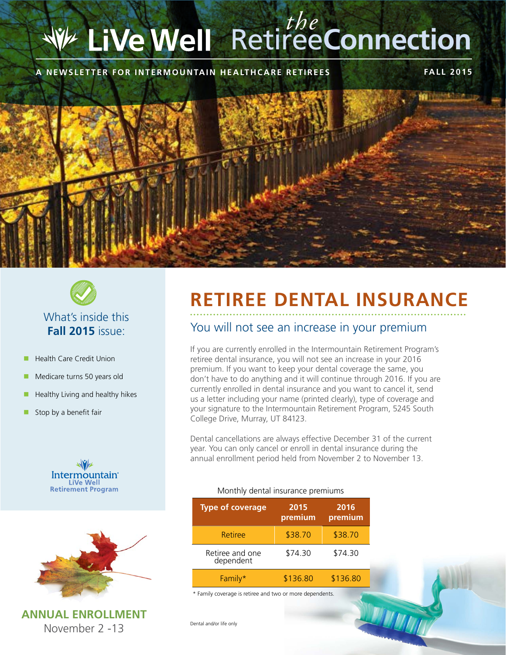# Retiree**Connection** *the*

#### **A NEWSLETTER FOR INTERMOUNTAIN HEALTHCARE RETIREES FALL 2015**





### What's inside this **Fall 2015** issue:

- **Health Care Credit Union**
- **n** Medicare turns 50 years old
- Healthy Living and healthy hikes
- Stop by a benefit fair





**ANNUAL ENROLLMENT** November 2 -13

## **RETIREE DENTAL INSURANCE**

#### You will not see an increase in your premium

If you are currently enrolled in the Intermountain Retirement Program's retiree dental insurance, you will not see an increase in your 2016 premium. If you want to keep your dental coverage the same, you don't have to do anything and it will continue through 2016. If you are currently enrolled in dental insurance and you want to cancel it, send us a letter including your name (printed clearly), type of coverage and your signature to the Intermountain Retirement Program, 5245 South College Drive, Murray, UT 84123.

Dental cancellations are always effective December 31 of the current year. You can only cancel or enroll in dental insurance during the annual enrollment period held from November 2 to November 13.

#### Monthly dental insurance premiums

| <b>Type of coverage</b>      | 2015<br>premium | 2016<br>premium |
|------------------------------|-----------------|-----------------|
| Retiree                      | \$38.70         | \$38.70         |
| Retiree and one<br>dependent | \$74.30         | \$74.30         |
| Family*                      | \$136.80        | \$136.80        |

\* Family coverage is retiree and two or more dependents.

Dental and/or life only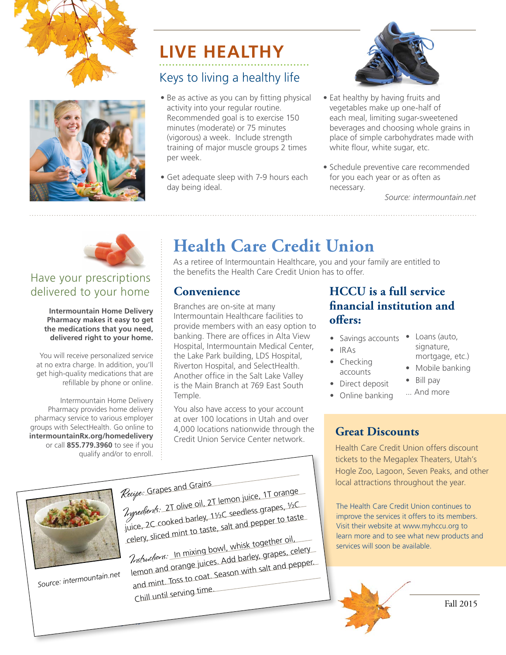



## Keys to living a healthy life **LIVE HEALTHY**

- Be as active as you can by fitting physical activity into your regular routine. Recommended goal is to exercise 150 minutes (moderate) or 75 minutes (vigorous) a week. Include strength training of major muscle groups 2 times per week.
- Get adequate sleep with 7-9 hours each day being ideal.



- Eat healthy by having fruits and vegetables make up one-half of each meal, limiting sugar-sweetened beverages and choosing whole grains in place of simple carbohydrates made with white flour, white sugar, etc.
- Schedule preventive care recommended for you each year or as often as necessary.

*Source: intermountain.net*



## Have your prescriptions delivered to your home

**Intermountain Home Delivery Pharmacy makes it easy to get the medications that you need, delivered right to your home.** 

You will receive personalized service at no extra charge. In addition, you'll get high-quality medications that are refillable by phone or online.

Intermountain Home Delivery Pharmacy provides home delivery pharmacy service to various employer groups with SelectHealth. Go online to **intermountainRx.org/homedelivery** or call **855.779.3960** to see if you qualify and/or to enroll.

## **Health Care Credit Union**

As a retiree of Intermountain Healthcare, you and your family are entitled to the benefits the Health Care Credit Union has to offer.

#### **Convenience**

Branches are on-site at many Intermountain Healthcare facilities to provide members with an easy option to banking. There are offices in Alta View Hospital, Intermountain Medical Center, the Lake Park building, LDS Hospital, Riverton Hospital, and SelectHealth. Another office in the Salt Lake Valley is the Main Branch at 769 East South Temple.

You also have access to your account at over 100 locations in Utah and over 4,000 locations nationwide through the Credit Union Service Center network.

#### **HCCU is a full service financial institution and offers:**

- Savings accounts Loans (auto,
- IRAs
- Checking accounts
- Direct deposit
	-

## **Great Discounts**

Health Care Credit Union offers discount tickets to the Megaplex Theaters, Utah's Hogle Zoo, Lagoon, Seven Peaks, and other local attractions throughout the year.

The Health Care Credit Union continues to improve the services it offers to its members. Visit their website at www.myhccu.org to learn more and to see what new products and services will soon be available.



- signature,
- mortgage, etc.)
- Mobile banking
- Bill pay ... And more
- Online banking



Recipe: Grapes and Grains Ingredients: 2T olive oil, 2T lemon juice, 1T orange juice, 2C cooked barley, 1½C seedless grapes, ½C celery, sliced mint to taste, salt and pepper to taste

Instuctions: In mixing bowl, whisk together oil, lemon and orange juices. Add barley, grapes, celery and mint. Toss to coat. Season with salt and pepper. Chill until serving time.



*Source: intermountain.net*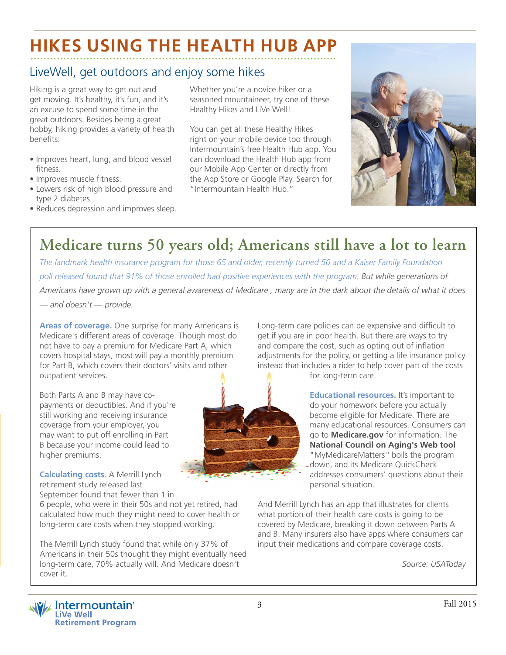## **HIKES USING THE HEALTH HUB APP**

## LiveWell, get outdoors and enjoy some hikes

Hiking is a great way to get out and get moving. It's healthy, it's fun, and it's an excuse to spend some time in the great outdoors. Besides being a great hobby, hiking provides a variety of health benefits:

- Improves heart, lung, and blood vessel fitness.
- Improves muscle fitness.
- Lowers risk of high blood pressure and type 2 diabetes.
- Reduces depression and improves sleep.

Whether you're a novice hiker or a seasoned mountaineer, try one of these Healthy Hikes and LiVe Well!

You can get all these Healthy Hikes right on your mobile device too through Intermountain's free Health Hub app. You can download the Health Hub app from our Mobile App Center or directly from the App Store or Google Play. Search for "Intermountain Health Hub."



## **Medicare turns 50 years old; Americans still have a lot to learn**

*The landmark health insurance program for those 65 and older, recently turned 50 and a Kaiser Family Foundation poll released found that 91% of those enrolled had positive experiences with the program. But while generations of Americans have grown up with a general awareness of Medicare , many are in the dark about the details of what it does* 

*— and doesn't — provide.*

**Areas of coverage.** One surprise for many Americans is Medicare's different areas of coverage. Though most do not have to pay a premium for Medicare Part A, which covers hospital stays, most will pay a monthly premium for Part B, which covers their doctors' visits and other outpatient services.

Both Parts A and B may have copayments or deductibles. And if you're still working and receiving insurance coverage from your employer, you may want to put off enrolling in Part B because your income could lead to higher premiums.

**Calculating costs.** A Merrill Lynch retirement study released last September found that fewer than 1 in

6 people, who were in their 50s and not yet retired, had calculated how much they might need to cover health or long-term care costs when they stopped working.

The Merrill Lynch study found that while only 37% of Americans in their 50s thought they might eventually need long-term care, 70% actually will. And Medicare doesn't cover it.

Long-term care policies can be expensive and difficult to get if you are in poor health. But there are ways to try and compare the cost, such as opting out of inflation adjustments for the policy, or getting a life insurance policy instead that includes a rider to help cover part of the costs for long-term care.



**Educational resources.** It's important to do your homework before you actually become eligible for Medicare. There are many educational resources. Consumers can go to **Medicare.gov** for information. The **National Council on Aging's Web tool** "MyMedicareMatters'' boils the program down, and its Medicare QuickCheck addresses consumers' questions about their personal situation.

And Merrill Lynch has an app that illustrates for clients what portion of their health care costs is going to be covered by Medicare, breaking it down between Parts A and B. Many insurers also have apps where consumers can input their medications and compare coverage costs.

*Source: USAToday*